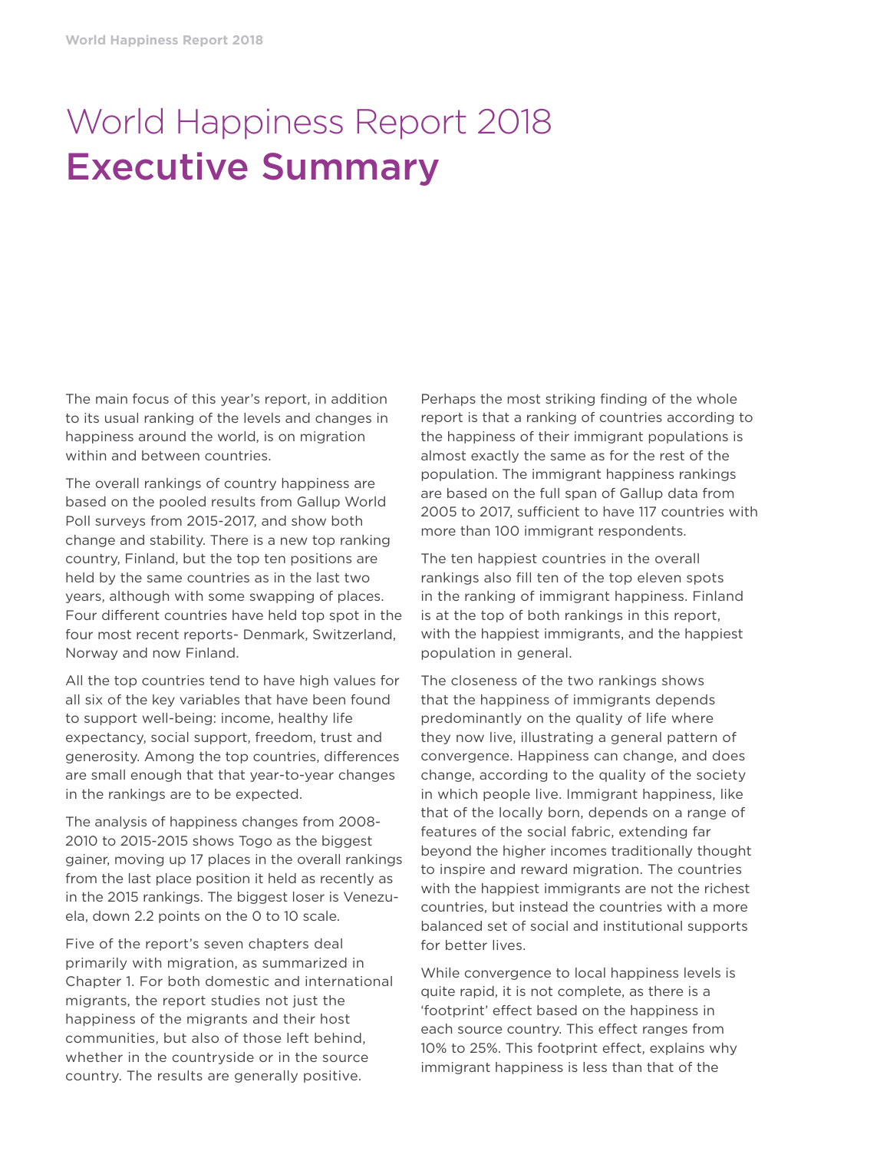# World Happiness Report 2018 Executive Summary

The main focus of this year's report, in addition to its usual ranking of the levels and changes in happiness around the world, is on migration within and between countries.

The overall rankings of country happiness are based on the pooled results from Gallup World Poll surveys from 2015-2017, and show both change and stability. There is a new top ranking country, Finland, but the top ten positions are held by the same countries as in the last two years, although with some swapping of places. Four different countries have held top spot in the four most recent reports- Denmark, Switzerland, Norway and now Finland.

All the top countries tend to have high values for all six of the key variables that have been found to support well-being: income, healthy life expectancy, social support, freedom, trust and generosity. Among the top countries, differences are small enough that that year-to-year changes in the rankings are to be expected.

The analysis of happiness changes from 2008- 2010 to 2015-2015 shows Togo as the biggest gainer, moving up 17 places in the overall rankings from the last place position it held as recently as in the 2015 rankings. The biggest loser is Venezuela, down 2.2 points on the 0 to 10 scale.

Five of the report's seven chapters deal primarily with migration, as summarized in Chapter 1. For both domestic and international migrants, the report studies not just the happiness of the migrants and their host communities, but also of those left behind, whether in the countryside or in the source country. The results are generally positive.

Perhaps the most striking finding of the whole report is that a ranking of countries according to the happiness of their immigrant populations is almost exactly the same as for the rest of the population. The immigrant happiness rankings are based on the full span of Gallup data from 2005 to 2017, sufficient to have 117 countries with more than 100 immigrant respondents.

The ten happiest countries in the overall rankings also fill ten of the top eleven spots in the ranking of immigrant happiness. Finland is at the top of both rankings in this report, with the happiest immigrants, and the happiest population in general.

The closeness of the two rankings shows that the happiness of immigrants depends predominantly on the quality of life where they now live, illustrating a general pattern of convergence. Happiness can change, and does change, according to the quality of the society in which people live. Immigrant happiness, like that of the locally born, depends on a range of features of the social fabric, extending far beyond the higher incomes traditionally thought to inspire and reward migration. The countries with the happiest immigrants are not the richest countries, but instead the countries with a more balanced set of social and institutional supports for better lives.

While convergence to local happiness levels is quite rapid, it is not complete, as there is a 'footprint' effect based on the happiness in each source country. This effect ranges from 10% to 25%. This footprint effect, explains why immigrant happiness is less than that of the